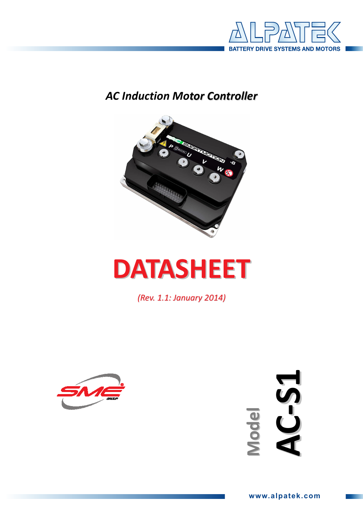

## **AC Induction Motor Controller**



# **DATASHEET**

(Rev. 1.1: January 2014)



**AC-51** Model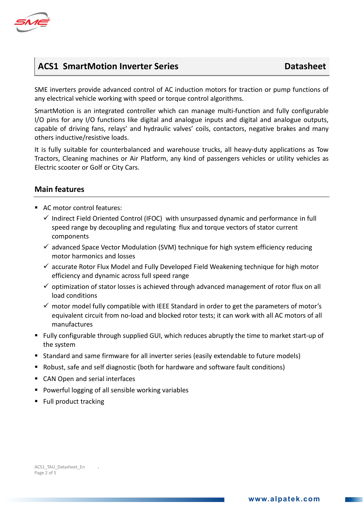

## ACS1 SmartMotion Inverter Series **Datasheet**

SME inverters provide advanced control of AC induction motors for traction or pump functions of any electrical vehicle working with speed or torque control algorithms.

SmartMotion is an integrated controller which can manage multi-function and fully configurable I/O pins for any I/O functions like digital and analogue inputs and digital and analogue outputs, capable of driving fans, relays' and hydraulic valves' coils, contactors, negative brakes and many others inductive/resistive loads.

It is fully suitable for counterbalanced and warehouse trucks, all heavy-duty applications as Tow Tractors, Cleaning machines or Air Platform, any kind of passengers vehicles or utility vehicles as Electric scooter or Golf or City Cars.

#### Main features

- AC motor control features:
	- Indirect Field Oriented Control (IFOC) with unsurpassed dynamic and performance in full speed range by decoupling and regulating flux and torque vectors of stator current components
	- advanced Space Vector Modulation (SVM) technique for high system efficiency reducing motor harmonics and losses
	- accurate Rotor Flux Model and Fully Developed Field Weakening technique for high motor efficiency and dynamic across full speed range
	- optimization of stator losses is achieved through advanced management of rotor flux on all load conditions
	- motor model fully compatible with IEEE Standard in order to get the parameters of motor's equivalent circuit from no-load and blocked rotor tests; it can work with all AC motors of all manufactures
- Fully configurable through supplied GUI, which reduces abruptly the time to market start-up of the system
- Standard and same firmware for all inverter series (easily extendable to future models)
- Robust, safe and self diagnostic (both for hardware and software fault conditions)
- CAN Open and serial interfaces
- **Powerful logging of all sensible working variables**
- Full product tracking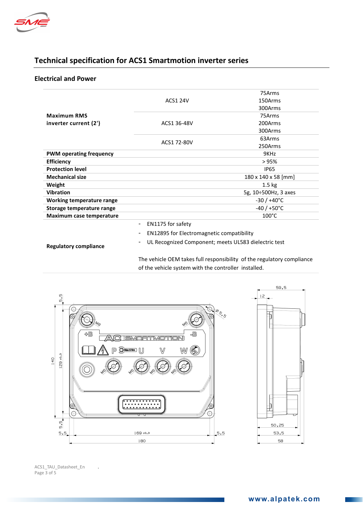

### Technical specification for ACS1 Smartmotion inverter series

#### Electrical and Power

| <b>ACS1 24V</b><br><b>Maximum RMS</b><br>ACS1 36-48V<br>inverter current (2')<br>ACS1 72-80V<br><b>PWM operating frequency</b><br><b>Efficiency</b><br><b>Protection level</b><br><b>Mechanical size</b><br>Weight<br><b>Vibration</b><br>Working temperature range<br>Storage temperature range<br>Maximum case temperature<br>EN1175 for safety<br>$\overline{\phantom{a}}$<br><b>EN12895 for Electromagnetic compatibility</b><br>- |                      |
|----------------------------------------------------------------------------------------------------------------------------------------------------------------------------------------------------------------------------------------------------------------------------------------------------------------------------------------------------------------------------------------------------------------------------------------|----------------------|
|                                                                                                                                                                                                                                                                                                                                                                                                                                        | 75Arms               |
|                                                                                                                                                                                                                                                                                                                                                                                                                                        | 150Arms              |
|                                                                                                                                                                                                                                                                                                                                                                                                                                        | 300Arms              |
|                                                                                                                                                                                                                                                                                                                                                                                                                                        | 75Arms               |
|                                                                                                                                                                                                                                                                                                                                                                                                                                        | 200Arms              |
|                                                                                                                                                                                                                                                                                                                                                                                                                                        | 300Arms              |
|                                                                                                                                                                                                                                                                                                                                                                                                                                        | 63Arms               |
|                                                                                                                                                                                                                                                                                                                                                                                                                                        | 250Arms              |
|                                                                                                                                                                                                                                                                                                                                                                                                                                        | 9KHz                 |
|                                                                                                                                                                                                                                                                                                                                                                                                                                        | >95%                 |
|                                                                                                                                                                                                                                                                                                                                                                                                                                        | <b>IP65</b>          |
|                                                                                                                                                                                                                                                                                                                                                                                                                                        | 180 x 140 x 58 [mm]  |
|                                                                                                                                                                                                                                                                                                                                                                                                                                        | $1.5 \text{ kg}$     |
|                                                                                                                                                                                                                                                                                                                                                                                                                                        | 5g, 10÷500Hz, 3 axes |
|                                                                                                                                                                                                                                                                                                                                                                                                                                        | $-30/+40^{\circ}$ C  |
|                                                                                                                                                                                                                                                                                                                                                                                                                                        | $-40/+50°C$          |
|                                                                                                                                                                                                                                                                                                                                                                                                                                        | $100^{\circ}$ C      |
|                                                                                                                                                                                                                                                                                                                                                                                                                                        |                      |
|                                                                                                                                                                                                                                                                                                                                                                                                                                        |                      |
| UL Recognized Component; meets UL583 dielectric test<br>Beauthorne and and the                                                                                                                                                                                                                                                                                                                                                         |                      |

Regulatory compliance

The vehicle OEM takes full responsibility of the regulatory compliance of the vehicle system with the controller installed.



ACS1\_TAU\_Datasheet\_En . Page 3 of 5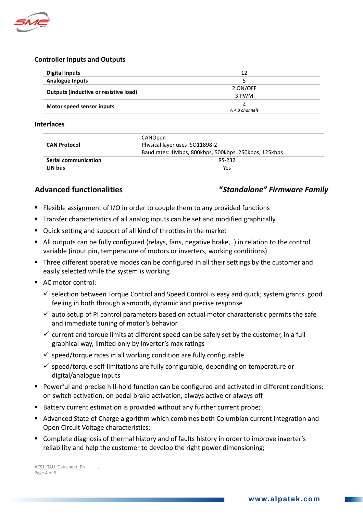

#### Controller Inputs and Outputs

| <b>Digital Inputs</b>                        | 12               |
|----------------------------------------------|------------------|
| <b>Analogue Inputs</b>                       | 5                |
| <b>Outputs (inductive or resistive load)</b> | 2 ON/OFF         |
|                                              | 3 PWM            |
| Motor speed sensor inputs                    |                  |
|                                              | $A + B$ channels |

#### Interfaces

| <b>CAN Protocol</b>         | CANOpen<br>Physical layer uses ISO11898-2             |
|-----------------------------|-------------------------------------------------------|
|                             | Baud rates: 1Mbps, 800kbps, 500kbps, 250kbps, 125kbps |
| <b>Serial communication</b> | RS-232                                                |
| LIN bus                     | Yes                                                   |

#### Advanced functionalities "Standalone" Firmware Family

- **Filexible assignment of I/O in order to couple them to any provided functions**
- Transfer characteristics of all analog inputs can be set and modified graphically
- Quick setting and support of all kind of throttles in the market
- All outputs can be fully configured (relays, fans, negative brake,..) in relation to the control variable (input pin, temperature of motors or inverters, working conditions)
- **Three different operative modes can be configured in all their settings by the customer and** easily selected while the system is working
- AC motor control:
	- selection between Torque Control and Speed Control is easy and quick; system grants good feeling in both through a smooth, dynamic and precise response
	- $\checkmark$  auto setup of PI control parameters based on actual motor characteristic permits the safe and immediate tuning of motor's behavior
	- $\checkmark$  current and torque limits at different speed can be safely set by the customer, in a full graphical way, limited only by inverter's max ratings
	- $\checkmark$  speed/torque rates in all working condition are fully configurable
	- speed/torque self-limitations are fully configurable, depending on temperature or digital/analogue inputs
- Powerful and precise hill-hold function can be configured and activated in different conditions: on switch activation, on pedal brake activation, always active or always off
- Battery current estimation is provided without any further current probe;
- Advanced State of Charge algorithm which combines both Columbian current integration and Open Circuit Voltage characteristics;
- Complete diagnosis of thermal history and of faults history in order to improve inverter's reliability and help the customer to develop the right power dimensioning;

ACS1\_TAU\_Datasheet\_En . Page 4 of 5